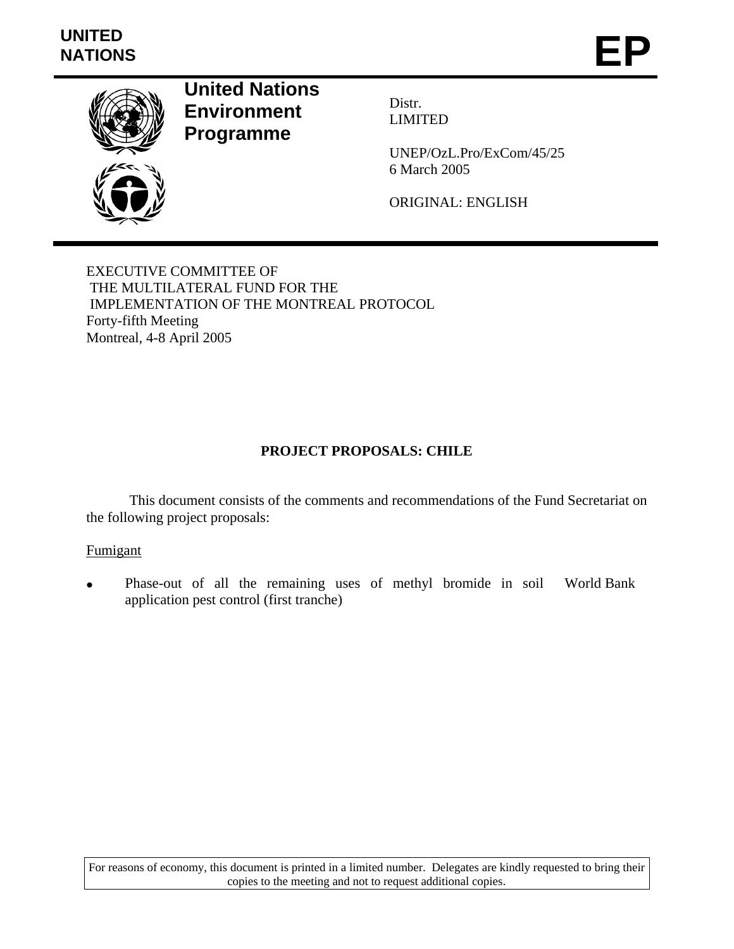

**United Nations Environment Programme** 

Distr. LIMITED

UNEP/OzL.Pro/ExCom/45/25 6 March 2005

ORIGINAL: ENGLISH

EXECUTIVE COMMITTEE OF THE MULTILATERAL FUND FOR THE IMPLEMENTATION OF THE MONTREAL PROTOCOL Forty-fifth Meeting Montreal, 4-8 April 2005

#### **PROJECT PROPOSALS: CHILE**

This document consists of the comments and recommendations of the Fund Secretariat on the following project proposals:

#### Fumigant

• Phase-out of all the remaining uses of methyl bromide in soil World Bankapplication pest control (first tranche)

For reasons of economy, this document is printed in a limited number. Delegates are kindly requested to bring their copies to the meeting and not to request additional copies.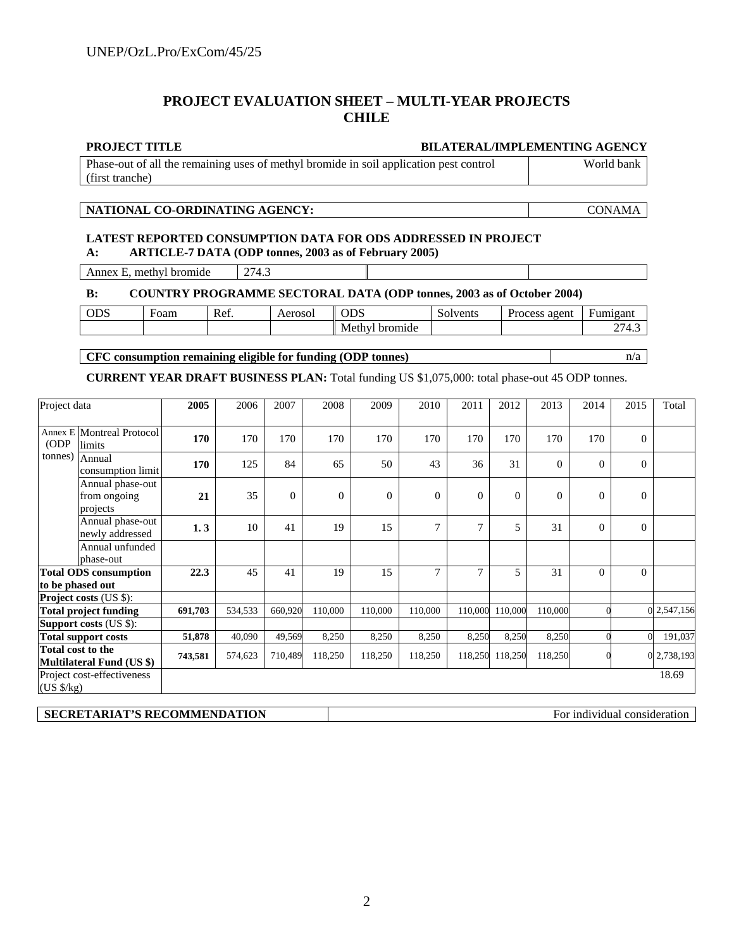#### **PROJECT EVALUATION SHEET – MULTI-YEAR PROJECTS CHILE**

#### **PROJECT TITLE BILATERAL/IMPLEMENTING AGENCY**

Phase-out of all the remaining uses of methyl bromide in soil application pest control (first tranche) World bank

#### **NATIONAL CO-ORDINATING AGENCY:** CONAMA

#### **LATEST REPORTED CONSUMPTION DATA FOR ODS ADDRESSED IN PROJECT A: ARTICLE-7 DATA (ODP tonnes, 2003 as of February 2005)**

Annex E, methyl bromide 274.3

#### **B: COUNTRY PROGRAMME SECTORAL DATA (ODP tonnes, 2003 as of October 2004)**

| ODS | oam | <sup>n</sup><br>Ket. | Aerosol | $\cap \cap \cap$<br>UDS | livents | $\mathbf{r}$<br>agent<br>Process | лапи!                          |
|-----|-----|----------------------|---------|-------------------------|---------|----------------------------------|--------------------------------|
|     |     |                      |         | .<br>Me'<br>hr<br>aide  |         |                                  | $\sim$<br>4<br><u>_</u><br>᠇.、 |

**CFC consumption remaining eligible for funding (ODP tonnes)** n/a

**CURRENT YEAR DRAFT BUSINESS PLAN:** Total funding US \$1,075,000: total phase-out 45 ODP tonnes.

| Project data        |                                              | 2005    | 2006    | 2007     | 2008         | 2009     | 2010     | 2011             | 2012     | 2013     | 2014     | 2015           | Total     |
|---------------------|----------------------------------------------|---------|---------|----------|--------------|----------|----------|------------------|----------|----------|----------|----------------|-----------|
| ODP                 | Annex E Montreal Protocol<br>limits          | 170     | 170     | 170      | 170          | 170      | 170      | 170              | 170      | 170      | 170      | $\Omega$       |           |
| tonnes)             | Annual<br>consumption limit                  | 170     | 125     | 84       | 65           | 50       | 43       | 36               | 31       | $\theta$ | $\Omega$ | $\overline{0}$ |           |
|                     | Annual phase-out<br>from ongoing<br>projects | 21      | 35      | $\Omega$ | $\mathbf{0}$ | $\Omega$ | $\Omega$ | $\boldsymbol{0}$ | $\Omega$ | $\theta$ | $\Omega$ | $\Omega$       |           |
|                     | Annual phase-out<br>newly addressed          | 1.3     | 10      | 41       | 19           | 15       | 7        | $\overline{7}$   | 5        | 31       | $\Omega$ | $\theta$       |           |
|                     | Annual unfunded<br>phase-out                 |         |         |          |              |          |          |                  |          |          |          |                |           |
| to be phased out    | <b>Total ODS</b> consumption                 | 22.3    | 45      | 41       | 19           | 15       | 7        | $\tau$           | 5        | 31       | $\Omega$ | $\Omega$       |           |
|                     | Project costs (US \$):                       |         |         |          |              |          |          |                  |          |          |          |                |           |
|                     | <b>Total project funding</b>                 | 691,703 | 534,533 | 660,920  | 110,000      | 110,000  | 110,000  | 110,000          | 110,000  | 110,000  |          |                | 2,547,156 |
|                     | <b>Support costs (US \$):</b>                |         |         |          |              |          |          |                  |          |          |          |                |           |
|                     | <b>Total support costs</b>                   | 51,878  | 40,090  | 49,569   | 8,250        | 8,250    | 8,250    | 8,250            | 8,250    | 8,250    |          |                | 191,037   |
| Total cost to the   | Multilateral Fund (US \$)                    | 743,581 | 574,623 | 710,489  | 118,250      | 118,250  | 118,250  | 118,250          | 118,250  | 118,250  |          |                | 1,738,193 |
| $(US \frac{S}{kg})$ | Project cost-effectiveness                   |         |         |          |              |          |          |                  |          |          |          |                | 18.69     |

**SECRETARIAT'S RECOMMENDATION For individual consideration**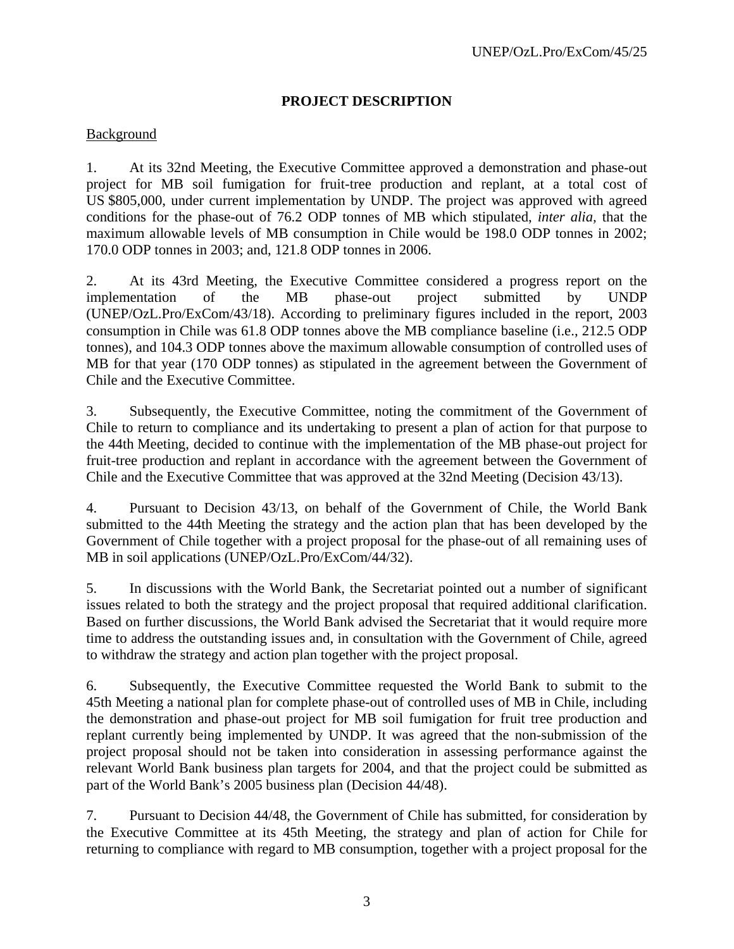#### **PROJECT DESCRIPTION**

#### Background

1. At its 32nd Meeting, the Executive Committee approved a demonstration and phase-out project for MB soil fumigation for fruit-tree production and replant, at a total cost of US \$805,000, under current implementation by UNDP. The project was approved with agreed conditions for the phase-out of 76.2 ODP tonnes of MB which stipulated, *inter alia,* that the maximum allowable levels of MB consumption in Chile would be 198.0 ODP tonnes in 2002; 170.0 ODP tonnes in 2003; and, 121.8 ODP tonnes in 2006.

2. At its 43rd Meeting, the Executive Committee considered a progress report on the implementation of the MB phase-out project submitted by UNDP (UNEP/OzL.Pro/ExCom/43/18). According to preliminary figures included in the report, 2003 consumption in Chile was 61.8 ODP tonnes above the MB compliance baseline (i.e., 212.5 ODP tonnes), and 104.3 ODP tonnes above the maximum allowable consumption of controlled uses of MB for that year (170 ODP tonnes) as stipulated in the agreement between the Government of Chile and the Executive Committee.

3. Subsequently, the Executive Committee, noting the commitment of the Government of Chile to return to compliance and its undertaking to present a plan of action for that purpose to the 44th Meeting, decided to continue with the implementation of the MB phase-out project for fruit-tree production and replant in accordance with the agreement between the Government of Chile and the Executive Committee that was approved at the 32nd Meeting (Decision 43/13).

4. Pursuant to Decision 43/13, on behalf of the Government of Chile, the World Bank submitted to the 44th Meeting the strategy and the action plan that has been developed by the Government of Chile together with a project proposal for the phase-out of all remaining uses of MB in soil applications (UNEP/OzL.Pro/ExCom/44/32).

5. In discussions with the World Bank, the Secretariat pointed out a number of significant issues related to both the strategy and the project proposal that required additional clarification. Based on further discussions, the World Bank advised the Secretariat that it would require more time to address the outstanding issues and, in consultation with the Government of Chile, agreed to withdraw the strategy and action plan together with the project proposal.

6. Subsequently, the Executive Committee requested the World Bank to submit to the 45th Meeting a national plan for complete phase-out of controlled uses of MB in Chile, including the demonstration and phase-out project for MB soil fumigation for fruit tree production and replant currently being implemented by UNDP. It was agreed that the non-submission of the project proposal should not be taken into consideration in assessing performance against the relevant World Bank business plan targets for 2004, and that the project could be submitted as part of the World Bank's 2005 business plan (Decision 44/48).

7. Pursuant to Decision 44/48, the Government of Chile has submitted, for consideration by the Executive Committee at its 45th Meeting, the strategy and plan of action for Chile for returning to compliance with regard to MB consumption, together with a project proposal for the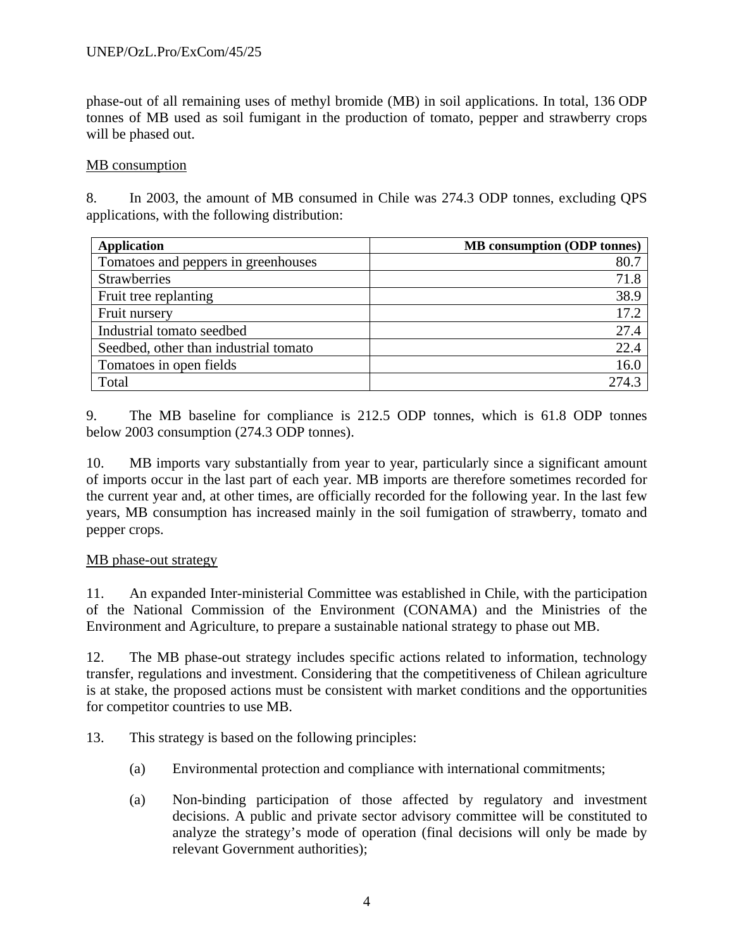phase-out of all remaining uses of methyl bromide (MB) in soil applications. In total, 136 ODP tonnes of MB used as soil fumigant in the production of tomato, pepper and strawberry crops will be phased out.

#### MB consumption

8. In 2003, the amount of MB consumed in Chile was 274.3 ODP tonnes, excluding QPS applications, with the following distribution:

| <b>Application</b>                    | <b>MB</b> consumption (ODP tonnes) |
|---------------------------------------|------------------------------------|
| Tomatoes and peppers in greenhouses   | 80.7                               |
| <b>Strawberries</b>                   | 71.8                               |
| Fruit tree replanting                 | 38.9                               |
| Fruit nursery                         | 17.2                               |
| Industrial tomato seedbed             | 27.4                               |
| Seedbed, other than industrial tomato | 22.4                               |
| Tomatoes in open fields               | 16.0                               |
| Total                                 | 274.3                              |

9. The MB baseline for compliance is 212.5 ODP tonnes, which is 61.8 ODP tonnes below 2003 consumption (274.3 ODP tonnes).

10. MB imports vary substantially from year to year, particularly since a significant amount of imports occur in the last part of each year. MB imports are therefore sometimes recorded for the current year and, at other times, are officially recorded for the following year. In the last few years, MB consumption has increased mainly in the soil fumigation of strawberry, tomato and pepper crops.

#### MB phase-out strategy

11. An expanded Inter-ministerial Committee was established in Chile, with the participation of the National Commission of the Environment (CONAMA) and the Ministries of the Environment and Agriculture, to prepare a sustainable national strategy to phase out MB.

12. The MB phase-out strategy includes specific actions related to information, technology transfer, regulations and investment. Considering that the competitiveness of Chilean agriculture is at stake, the proposed actions must be consistent with market conditions and the opportunities for competitor countries to use MB.

- 13. This strategy is based on the following principles:
	- (a) Environmental protection and compliance with international commitments;
	- (a) Non-binding participation of those affected by regulatory and investment decisions. A public and private sector advisory committee will be constituted to analyze the strategy's mode of operation (final decisions will only be made by relevant Government authorities);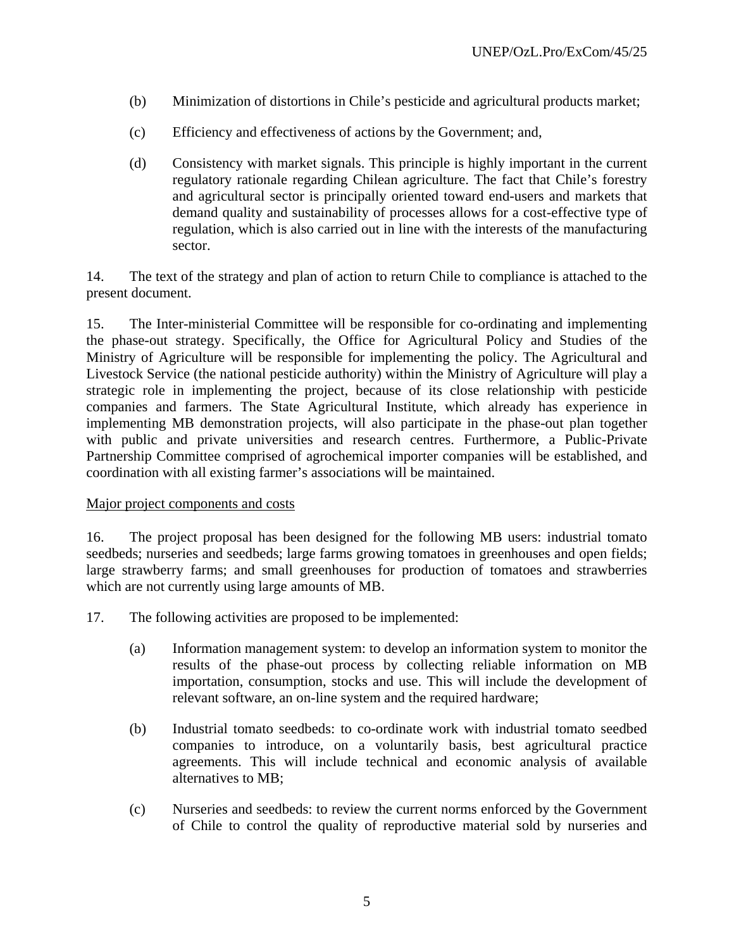- (b) Minimization of distortions in Chile's pesticide and agricultural products market;
- (c) Efficiency and effectiveness of actions by the Government; and,
- (d) Consistency with market signals. This principle is highly important in the current regulatory rationale regarding Chilean agriculture. The fact that Chile's forestry and agricultural sector is principally oriented toward end-users and markets that demand quality and sustainability of processes allows for a cost-effective type of regulation, which is also carried out in line with the interests of the manufacturing sector.

14. The text of the strategy and plan of action to return Chile to compliance is attached to the present document.

15. The Inter-ministerial Committee will be responsible for co-ordinating and implementing the phase-out strategy. Specifically, the Office for Agricultural Policy and Studies of the Ministry of Agriculture will be responsible for implementing the policy. The Agricultural and Livestock Service (the national pesticide authority) within the Ministry of Agriculture will play a strategic role in implementing the project, because of its close relationship with pesticide companies and farmers. The State Agricultural Institute, which already has experience in implementing MB demonstration projects, will also participate in the phase-out plan together with public and private universities and research centres. Furthermore, a Public-Private Partnership Committee comprised of agrochemical importer companies will be established, and coordination with all existing farmer's associations will be maintained.

#### Major project components and costs

16. The project proposal has been designed for the following MB users: industrial tomato seedbeds; nurseries and seedbeds; large farms growing tomatoes in greenhouses and open fields; large strawberry farms; and small greenhouses for production of tomatoes and strawberries which are not currently using large amounts of MB.

- 17. The following activities are proposed to be implemented:
	- (a) Information management system: to develop an information system to monitor the results of the phase-out process by collecting reliable information on MB importation, consumption, stocks and use. This will include the development of relevant software, an on-line system and the required hardware;
	- (b) Industrial tomato seedbeds: to co-ordinate work with industrial tomato seedbed companies to introduce, on a voluntarily basis, best agricultural practice agreements. This will include technical and economic analysis of available alternatives to MB;
	- (c) Nurseries and seedbeds: to review the current norms enforced by the Government of Chile to control the quality of reproductive material sold by nurseries and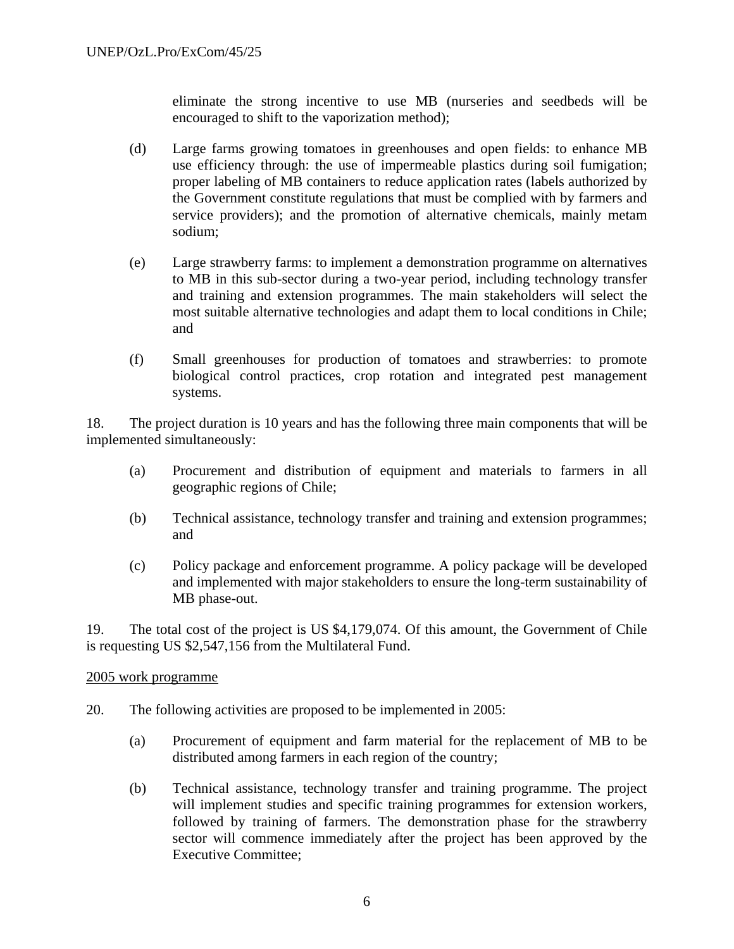eliminate the strong incentive to use MB (nurseries and seedbeds will be encouraged to shift to the vaporization method);

- (d) Large farms growing tomatoes in greenhouses and open fields: to enhance MB use efficiency through: the use of impermeable plastics during soil fumigation; proper labeling of MB containers to reduce application rates (labels authorized by the Government constitute regulations that must be complied with by farmers and service providers); and the promotion of alternative chemicals, mainly metam sodium;
- (e) Large strawberry farms: to implement a demonstration programme on alternatives to MB in this sub-sector during a two-year period, including technology transfer and training and extension programmes. The main stakeholders will select the most suitable alternative technologies and adapt them to local conditions in Chile; and
- (f) Small greenhouses for production of tomatoes and strawberries: to promote biological control practices, crop rotation and integrated pest management systems.

18. The project duration is 10 years and has the following three main components that will be implemented simultaneously:

- (a) Procurement and distribution of equipment and materials to farmers in all geographic regions of Chile;
- (b) Technical assistance, technology transfer and training and extension programmes; and
- (c) Policy package and enforcement programme. A policy package will be developed and implemented with major stakeholders to ensure the long-term sustainability of MB phase-out.

19. The total cost of the project is US \$4,179,074. Of this amount, the Government of Chile is requesting US \$2,547,156 from the Multilateral Fund.

#### 2005 work programme

- 20. The following activities are proposed to be implemented in 2005:
	- (a) Procurement of equipment and farm material for the replacement of MB to be distributed among farmers in each region of the country;
	- (b) Technical assistance, technology transfer and training programme. The project will implement studies and specific training programmes for extension workers, followed by training of farmers. The demonstration phase for the strawberry sector will commence immediately after the project has been approved by the Executive Committee;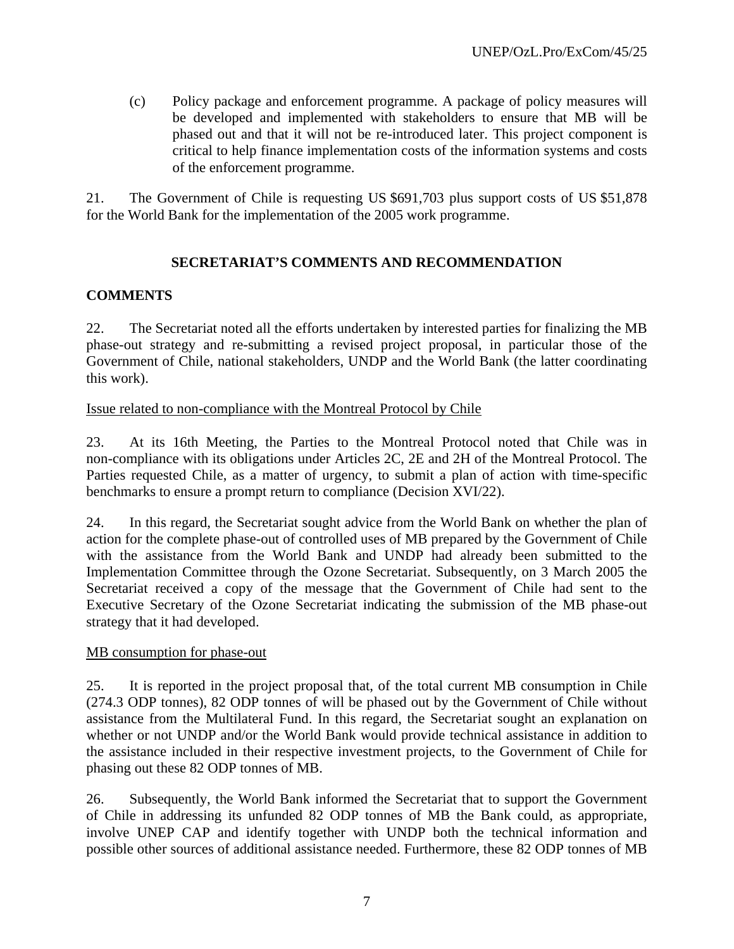(c) Policy package and enforcement programme. A package of policy measures will be developed and implemented with stakeholders to ensure that MB will be phased out and that it will not be re-introduced later. This project component is critical to help finance implementation costs of the information systems and costs of the enforcement programme.

21. The Government of Chile is requesting US \$691,703 plus support costs of US \$51,878 for the World Bank for the implementation of the 2005 work programme.

### **SECRETARIAT'S COMMENTS AND RECOMMENDATION**

#### **COMMENTS**

22. The Secretariat noted all the efforts undertaken by interested parties for finalizing the MB phase-out strategy and re-submitting a revised project proposal, in particular those of the Government of Chile, national stakeholders, UNDP and the World Bank (the latter coordinating this work).

#### Issue related to non-compliance with the Montreal Protocol by Chile

23. At its 16th Meeting, the Parties to the Montreal Protocol noted that Chile was in non-compliance with its obligations under Articles 2C, 2E and 2H of the Montreal Protocol. The Parties requested Chile, as a matter of urgency, to submit a plan of action with time-specific benchmarks to ensure a prompt return to compliance (Decision XVI/22).

24. In this regard, the Secretariat sought advice from the World Bank on whether the plan of action for the complete phase-out of controlled uses of MB prepared by the Government of Chile with the assistance from the World Bank and UNDP had already been submitted to the Implementation Committee through the Ozone Secretariat. Subsequently, on 3 March 2005 the Secretariat received a copy of the message that the Government of Chile had sent to the Executive Secretary of the Ozone Secretariat indicating the submission of the MB phase-out strategy that it had developed.

#### MB consumption for phase-out

25. It is reported in the project proposal that, of the total current MB consumption in Chile (274.3 ODP tonnes), 82 ODP tonnes of will be phased out by the Government of Chile without assistance from the Multilateral Fund. In this regard, the Secretariat sought an explanation on whether or not UNDP and/or the World Bank would provide technical assistance in addition to the assistance included in their respective investment projects, to the Government of Chile for phasing out these 82 ODP tonnes of MB.

26. Subsequently, the World Bank informed the Secretariat that to support the Government of Chile in addressing its unfunded 82 ODP tonnes of MB the Bank could, as appropriate, involve UNEP CAP and identify together with UNDP both the technical information and possible other sources of additional assistance needed. Furthermore, these 82 ODP tonnes of MB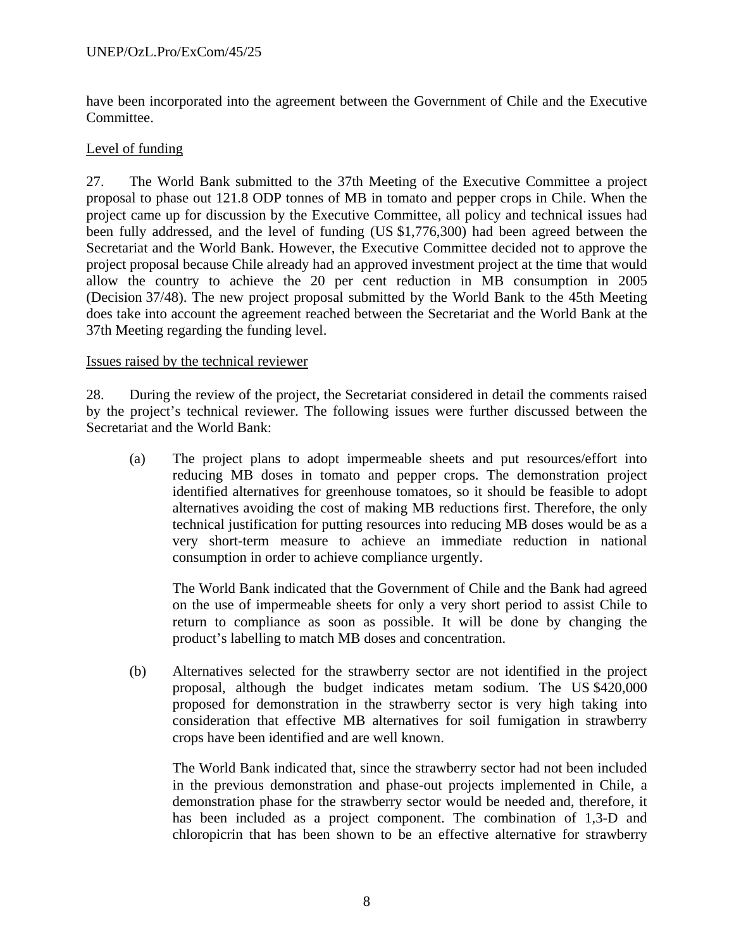have been incorporated into the agreement between the Government of Chile and the Executive Committee.

#### Level of funding

27. The World Bank submitted to the 37th Meeting of the Executive Committee a project proposal to phase out 121.8 ODP tonnes of MB in tomato and pepper crops in Chile. When the project came up for discussion by the Executive Committee, all policy and technical issues had been fully addressed, and the level of funding (US \$1,776,300) had been agreed between the Secretariat and the World Bank. However, the Executive Committee decided not to approve the project proposal because Chile already had an approved investment project at the time that would allow the country to achieve the 20 per cent reduction in MB consumption in 2005 (Decision 37/48). The new project proposal submitted by the World Bank to the 45th Meeting does take into account the agreement reached between the Secretariat and the World Bank at the 37th Meeting regarding the funding level.

#### Issues raised by the technical reviewer

28. During the review of the project, the Secretariat considered in detail the comments raised by the project's technical reviewer. The following issues were further discussed between the Secretariat and the World Bank:

(a) The project plans to adopt impermeable sheets and put resources/effort into reducing MB doses in tomato and pepper crops. The demonstration project identified alternatives for greenhouse tomatoes, so it should be feasible to adopt alternatives avoiding the cost of making MB reductions first. Therefore, the only technical justification for putting resources into reducing MB doses would be as a very short-term measure to achieve an immediate reduction in national consumption in order to achieve compliance urgently.

The World Bank indicated that the Government of Chile and the Bank had agreed on the use of impermeable sheets for only a very short period to assist Chile to return to compliance as soon as possible. It will be done by changing the product's labelling to match MB doses and concentration.

(b) Alternatives selected for the strawberry sector are not identified in the project proposal, although the budget indicates metam sodium. The US \$420,000 proposed for demonstration in the strawberry sector is very high taking into consideration that effective MB alternatives for soil fumigation in strawberry crops have been identified and are well known.

The World Bank indicated that, since the strawberry sector had not been included in the previous demonstration and phase-out projects implemented in Chile, a demonstration phase for the strawberry sector would be needed and, therefore, it has been included as a project component. The combination of 1,3-D and chloropicrin that has been shown to be an effective alternative for strawberry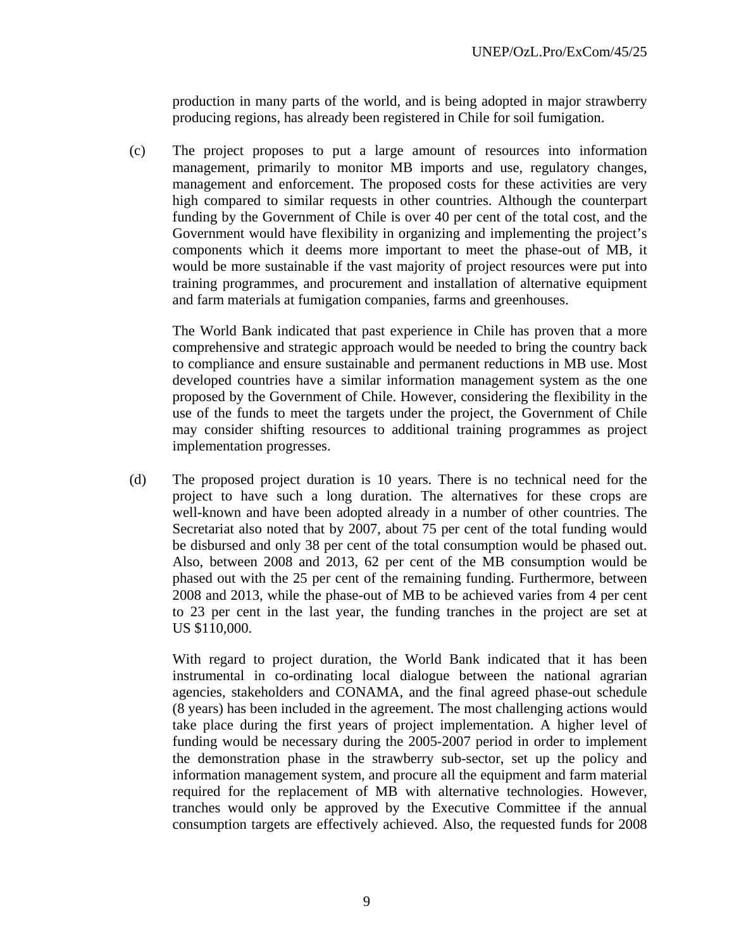production in many parts of the world, and is being adopted in major strawberry producing regions, has already been registered in Chile for soil fumigation.

(c) The project proposes to put a large amount of resources into information management, primarily to monitor MB imports and use, regulatory changes, management and enforcement. The proposed costs for these activities are very high compared to similar requests in other countries. Although the counterpart funding by the Government of Chile is over 40 per cent of the total cost, and the Government would have flexibility in organizing and implementing the project's components which it deems more important to meet the phase-out of MB, it would be more sustainable if the vast majority of project resources were put into training programmes, and procurement and installation of alternative equipment and farm materials at fumigation companies, farms and greenhouses.

The World Bank indicated that past experience in Chile has proven that a more comprehensive and strategic approach would be needed to bring the country back to compliance and ensure sustainable and permanent reductions in MB use. Most developed countries have a similar information management system as the one proposed by the Government of Chile. However, considering the flexibility in the use of the funds to meet the targets under the project, the Government of Chile may consider shifting resources to additional training programmes as project implementation progresses.

(d) The proposed project duration is 10 years. There is no technical need for the project to have such a long duration. The alternatives for these crops are well-known and have been adopted already in a number of other countries. The Secretariat also noted that by 2007, about 75 per cent of the total funding would be disbursed and only 38 per cent of the total consumption would be phased out. Also, between 2008 and 2013, 62 per cent of the MB consumption would be phased out with the 25 per cent of the remaining funding. Furthermore, between 2008 and 2013, while the phase-out of MB to be achieved varies from 4 per cent to 23 per cent in the last year, the funding tranches in the project are set at US \$110,000.

With regard to project duration, the World Bank indicated that it has been instrumental in co-ordinating local dialogue between the national agrarian agencies, stakeholders and CONAMA, and the final agreed phase-out schedule (8 years) has been included in the agreement. The most challenging actions would take place during the first years of project implementation. A higher level of funding would be necessary during the 2005-2007 period in order to implement the demonstration phase in the strawberry sub-sector, set up the policy and information management system, and procure all the equipment and farm material required for the replacement of MB with alternative technologies. However, tranches would only be approved by the Executive Committee if the annual consumption targets are effectively achieved. Also, the requested funds for 2008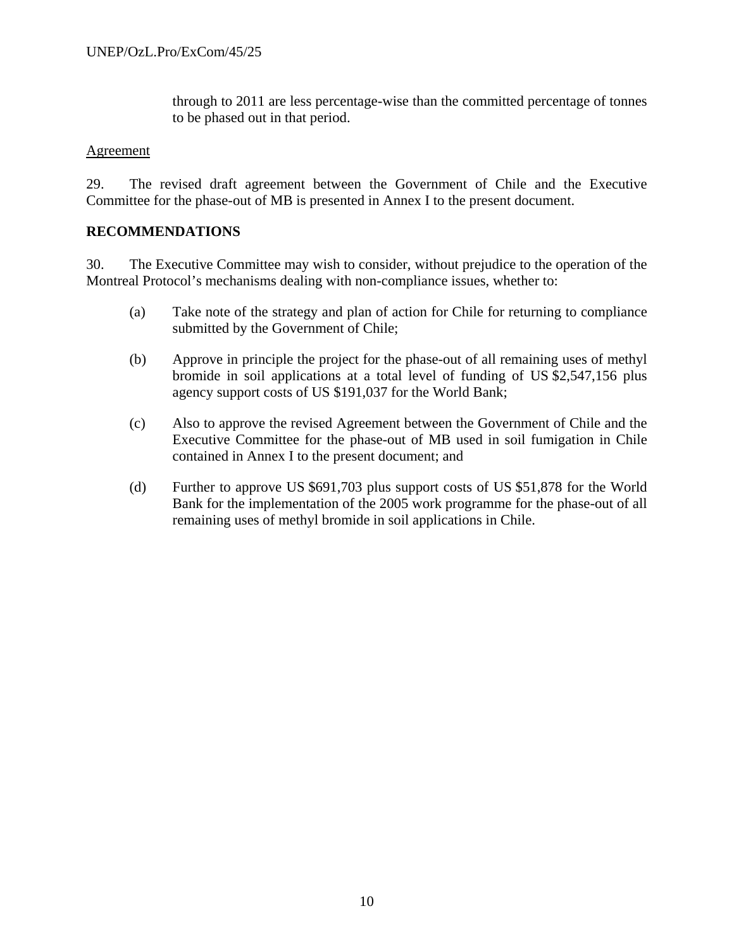through to 2011 are less percentage-wise than the committed percentage of tonnes to be phased out in that period.

#### Agreement

29. The revised draft agreement between the Government of Chile and the Executive Committee for the phase-out of MB is presented in Annex I to the present document.

#### **RECOMMENDATIONS**

30. The Executive Committee may wish to consider, without prejudice to the operation of the Montreal Protocol's mechanisms dealing with non-compliance issues, whether to:

- (a) Take note of the strategy and plan of action for Chile for returning to compliance submitted by the Government of Chile;
- (b) Approve in principle the project for the phase-out of all remaining uses of methyl bromide in soil applications at a total level of funding of US \$2,547,156 plus agency support costs of US \$191,037 for the World Bank;
- (c) Also to approve the revised Agreement between the Government of Chile and the Executive Committee for the phase-out of MB used in soil fumigation in Chile contained in Annex I to the present document; and
- (d) Further to approve US \$691,703 plus support costs of US \$51,878 for the World Bank for the implementation of the 2005 work programme for the phase-out of all remaining uses of methyl bromide in soil applications in Chile.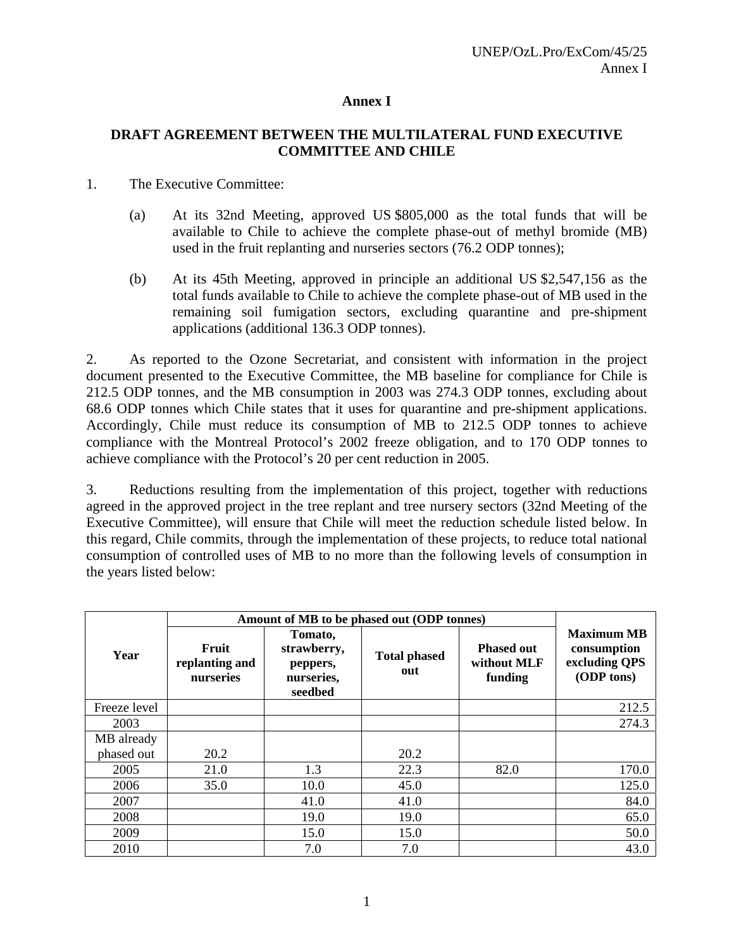#### **Annex I**

#### **DRAFT AGREEMENT BETWEEN THE MULTILATERAL FUND EXECUTIVE COMMITTEE AND CHILE**

#### 1. The Executive Committee:

- (a) At its 32nd Meeting, approved US \$805,000 as the total funds that will be available to Chile to achieve the complete phase-out of methyl bromide (MB) used in the fruit replanting and nurseries sectors (76.2 ODP tonnes);
- (b) At its 45th Meeting, approved in principle an additional US \$2,547,156 as the total funds available to Chile to achieve the complete phase-out of MB used in the remaining soil fumigation sectors, excluding quarantine and pre-shipment applications (additional 136.3 ODP tonnes).

2. As reported to the Ozone Secretariat, and consistent with information in the project document presented to the Executive Committee, the MB baseline for compliance for Chile is 212.5 ODP tonnes, and the MB consumption in 2003 was 274.3 ODP tonnes, excluding about 68.6 ODP tonnes which Chile states that it uses for quarantine and pre-shipment applications. Accordingly, Chile must reduce its consumption of MB to 212.5 ODP tonnes to achieve compliance with the Montreal Protocol's 2002 freeze obligation, and to 170 ODP tonnes to achieve compliance with the Protocol's 20 per cent reduction in 2005.

3. Reductions resulting from the implementation of this project, together with reductions agreed in the approved project in the tree replant and tree nursery sectors (32nd Meeting of the Executive Committee), will ensure that Chile will meet the reduction schedule listed below. In this regard, Chile commits, through the implementation of these projects, to reduce total national consumption of controlled uses of MB to no more than the following levels of consumption in the years listed below:

|              | Amount of MB to be phased out (ODP tonnes) |                                                             |                            |                                             |                                                                 |
|--------------|--------------------------------------------|-------------------------------------------------------------|----------------------------|---------------------------------------------|-----------------------------------------------------------------|
| Year         | Fruit<br>replanting and<br>nurseries       | Tomato,<br>strawberry,<br>peppers,<br>nurseries,<br>seedbed | <b>Total phased</b><br>out | <b>Phased out</b><br>without MLF<br>funding | <b>Maximum MB</b><br>consumption<br>excluding QPS<br>(ODP tons) |
| Freeze level |                                            |                                                             |                            |                                             | 212.5                                                           |
| 2003         |                                            |                                                             |                            |                                             | 274.3                                                           |
| MB already   |                                            |                                                             |                            |                                             |                                                                 |
| phased out   | 20.2                                       |                                                             | 20.2                       |                                             |                                                                 |
| 2005         | 21.0                                       | 1.3                                                         | 22.3                       | 82.0                                        | 170.0                                                           |
| 2006         | 35.0                                       | 10.0                                                        | 45.0                       |                                             | 125.0                                                           |
| 2007         |                                            | 41.0                                                        | 41.0                       |                                             | 84.0                                                            |
| 2008         |                                            | 19.0                                                        | 19.0                       |                                             | 65.0                                                            |
| 2009         |                                            | 15.0                                                        | 15.0                       |                                             | 50.0                                                            |
| 2010         |                                            | 7.0                                                         | 7.0                        |                                             | 43.0                                                            |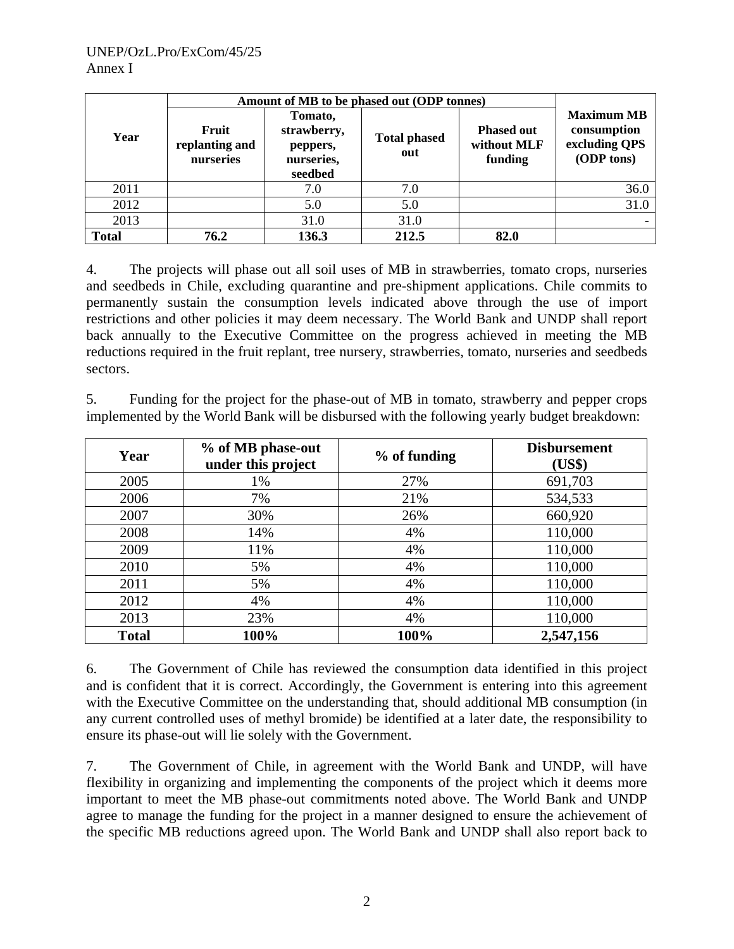|                                              |      | Amount of MB to be phased out (ODP tonnes)                  |                            |                                             |                                                                 |  |
|----------------------------------------------|------|-------------------------------------------------------------|----------------------------|---------------------------------------------|-----------------------------------------------------------------|--|
| Fruit<br>Year<br>replanting and<br>nurseries |      | Tomato,<br>strawberry,<br>peppers,<br>nurseries,<br>seedbed | <b>Total phased</b><br>out | <b>Phased out</b><br>without MLF<br>funding | <b>Maximum MB</b><br>consumption<br>excluding QPS<br>(ODP tons) |  |
| 2011                                         |      | 7.0                                                         | 7.0                        |                                             | 36.0                                                            |  |
| 2012                                         |      | 5.0                                                         | 5.0                        |                                             | 31.0                                                            |  |
| 2013                                         |      | 31.0                                                        | 31.0                       |                                             |                                                                 |  |
| <b>Total</b>                                 | 76.2 | 136.3                                                       | 212.5                      | 82.0                                        |                                                                 |  |

4. The projects will phase out all soil uses of MB in strawberries, tomato crops, nurseries and seedbeds in Chile, excluding quarantine and pre-shipment applications. Chile commits to permanently sustain the consumption levels indicated above through the use of import restrictions and other policies it may deem necessary. The World Bank and UNDP shall report back annually to the Executive Committee on the progress achieved in meeting the MB reductions required in the fruit replant, tree nursery, strawberries, tomato, nurseries and seedbeds sectors.

5. Funding for the project for the phase-out of MB in tomato, strawberry and pepper crops implemented by the World Bank will be disbursed with the following yearly budget breakdown:

| Year         | % of MB phase-out<br>under this project | % of funding | <b>Disbursement</b><br>(US\$) |
|--------------|-----------------------------------------|--------------|-------------------------------|
| 2005         | 1%                                      | 27%          | 691,703                       |
| 2006         | 7%                                      | 21%          | 534,533                       |
| 2007         | 30%                                     | 26%          | 660,920                       |
| 2008         | 14%                                     | 4%           | 110,000                       |
| 2009         | 11%                                     | 4%           | 110,000                       |
| 2010         | 5%                                      | 4%           | 110,000                       |
| 2011         | 5%                                      | 4%           | 110,000                       |
| 2012         | 4%                                      | 4%           | 110,000                       |
| 2013         | 23%                                     | 4%           | 110,000                       |
| <b>Total</b> | 100%                                    | 100%         | 2,547,156                     |

6. The Government of Chile has reviewed the consumption data identified in this project and is confident that it is correct. Accordingly, the Government is entering into this agreement with the Executive Committee on the understanding that, should additional MB consumption (in any current controlled uses of methyl bromide) be identified at a later date, the responsibility to ensure its phase-out will lie solely with the Government.

7. The Government of Chile, in agreement with the World Bank and UNDP, will have flexibility in organizing and implementing the components of the project which it deems more important to meet the MB phase-out commitments noted above. The World Bank and UNDP agree to manage the funding for the project in a manner designed to ensure the achievement of the specific MB reductions agreed upon. The World Bank and UNDP shall also report back to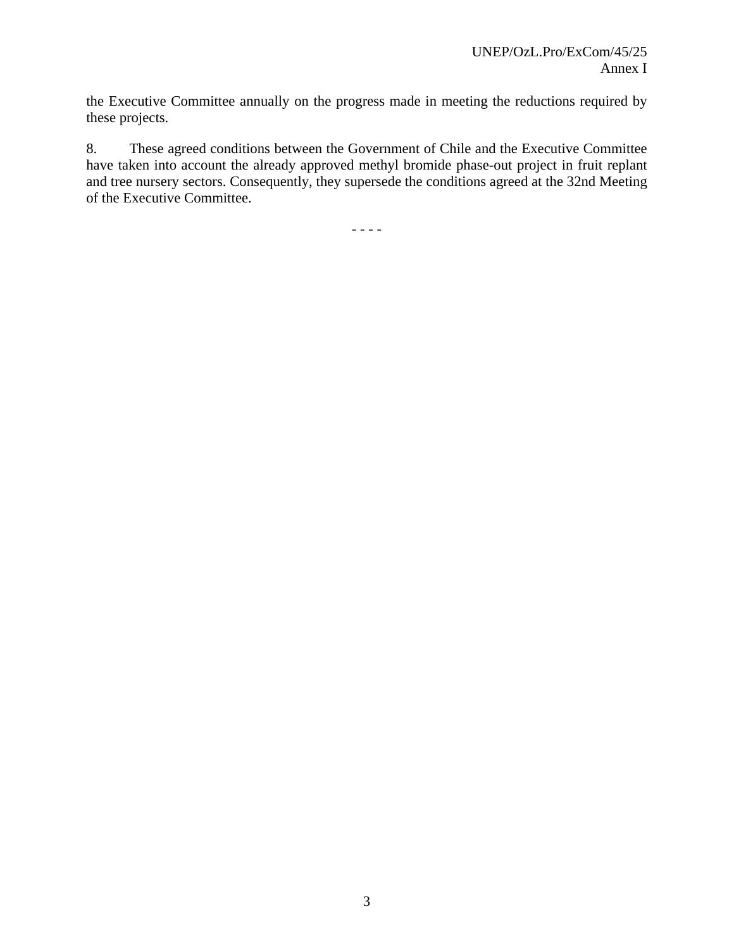the Executive Committee annually on the progress made in meeting the reductions required by these projects.

8. These agreed conditions between the Government of Chile and the Executive Committee have taken into account the already approved methyl bromide phase-out project in fruit replant and tree nursery sectors. Consequently, they supersede the conditions agreed at the 32nd Meeting of the Executive Committee.

- - - -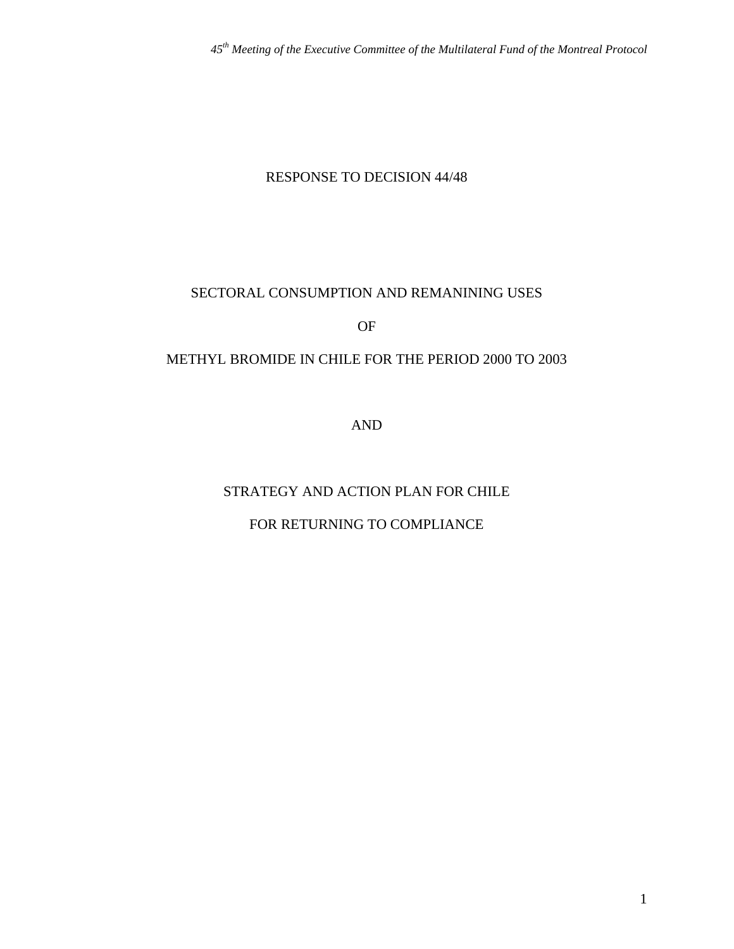#### RESPONSE TO DECISION 44/48

#### SECTORAL CONSUMPTION AND REMANINING USES

OF

#### METHYL BROMIDE IN CHILE FOR THE PERIOD 2000 TO 2003

AND

# STRATEGY AND ACTION PLAN FOR CHILE

# FOR RETURNING TO COMPLIANCE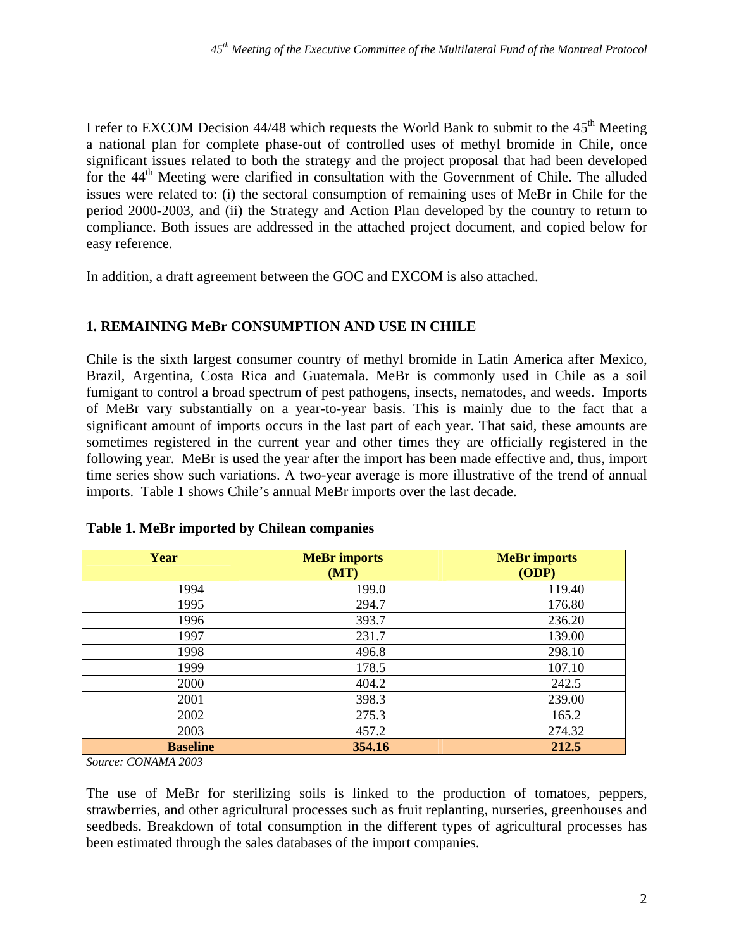I refer to EXCOM Decision  $44/48$  which requests the World Bank to submit to the  $45<sup>th</sup>$  Meeting a national plan for complete phase-out of controlled uses of methyl bromide in Chile, once significant issues related to both the strategy and the project proposal that had been developed for the 44<sup>th</sup> Meeting were clarified in consultation with the Government of Chile. The alluded issues were related to: (i) the sectoral consumption of remaining uses of MeBr in Chile for the period 2000-2003, and (ii) the Strategy and Action Plan developed by the country to return to compliance. Both issues are addressed in the attached project document, and copied below for easy reference.

In addition, a draft agreement between the GOC and EXCOM is also attached.

### **1. REMAINING MeBr CONSUMPTION AND USE IN CHILE**

Chile is the sixth largest consumer country of methyl bromide in Latin America after Mexico, Brazil, Argentina, Costa Rica and Guatemala. MeBr is commonly used in Chile as a soil fumigant to control a broad spectrum of pest pathogens, insects, nematodes, and weeds. Imports of MeBr vary substantially on a year-to-year basis. This is mainly due to the fact that a significant amount of imports occurs in the last part of each year. That said, these amounts are sometimes registered in the current year and other times they are officially registered in the following year. MeBr is used the year after the import has been made effective and, thus, import time series show such variations. A two-year average is more illustrative of the trend of annual imports. Table 1 shows Chile's annual MeBr imports over the last decade.

| Year            | <b>MeBr</b> imports<br>(MT) | <b>MeBr</b> imports<br>(ODP) |
|-----------------|-----------------------------|------------------------------|
| 1994            | 199.0                       | 119.40                       |
| 1995            | 294.7                       | 176.80                       |
| 1996            | 393.7                       | 236.20                       |
| 1997            | 231.7                       | 139.00                       |
| 1998            | 496.8                       | 298.10                       |
| 1999            | 178.5                       | 107.10                       |
| 2000            | 404.2                       | 242.5                        |
| 2001            | 398.3                       | 239.00                       |
| 2002            | 275.3                       | 165.2                        |
| 2003            | 457.2                       | 274.32                       |
| <b>Baseline</b> | 354.16                      | 212.5                        |

#### **Table 1. MeBr imported by Chilean companies**

*Source: CONAMA 2003* 

The use of MeBr for sterilizing soils is linked to the production of tomatoes, peppers, strawberries, and other agricultural processes such as fruit replanting, nurseries, greenhouses and seedbeds. Breakdown of total consumption in the different types of agricultural processes has been estimated through the sales databases of the import companies.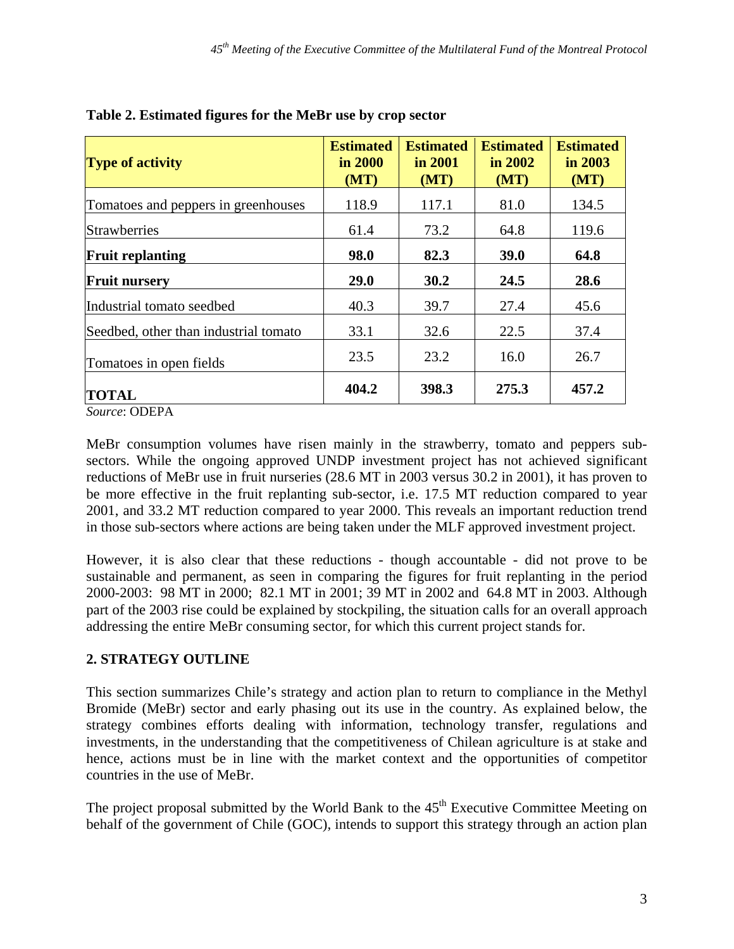| <b>Type of activity</b>               | <b>Estimated</b><br>in 2000<br>(MT) | <b>Estimated</b><br>in 2001<br>(MT) | <b>Estimated</b><br>in 2002<br>(MT) | <b>Estimated</b><br>in 2003<br>(MT) |
|---------------------------------------|-------------------------------------|-------------------------------------|-------------------------------------|-------------------------------------|
| Tomatoes and peppers in greenhouses   | 118.9                               | 117.1                               | 81.0                                | 134.5                               |
| <b>Strawberries</b>                   | 61.4                                | 73.2                                | 64.8                                | 119.6                               |
| <b>Fruit replanting</b>               | 98.0                                | 82.3                                | 39.0                                | 64.8                                |
| <b>Fruit nursery</b>                  | <b>29.0</b>                         | 30.2                                | 24.5                                | 28.6                                |
| Industrial tomato seedbed             | 40.3                                | 39.7                                | 27.4                                | 45.6                                |
| Seedbed, other than industrial tomato | 33.1                                | 32.6                                | 22.5                                | 37.4                                |
| Tomatoes in open fields               | 23.5                                | 23.2                                | 16.0                                | 26.7                                |
| <b>TOTAL</b>                          | 404.2                               | 398.3                               | 275.3                               | 457.2                               |

| Table 2. Estimated figures for the MeBr use by crop sector |  |  |
|------------------------------------------------------------|--|--|

*Source*: ODEPA

MeBr consumption volumes have risen mainly in the strawberry, tomato and peppers subsectors. While the ongoing approved UNDP investment project has not achieved significant reductions of MeBr use in fruit nurseries (28.6 MT in 2003 versus 30.2 in 2001), it has proven to be more effective in the fruit replanting sub-sector, i.e. 17.5 MT reduction compared to year 2001, and 33.2 MT reduction compared to year 2000. This reveals an important reduction trend in those sub-sectors where actions are being taken under the MLF approved investment project.

However, it is also clear that these reductions - though accountable - did not prove to be sustainable and permanent, as seen in comparing the figures for fruit replanting in the period 2000-2003: 98 MT in 2000; 82.1 MT in 2001; 39 MT in 2002 and 64.8 MT in 2003. Although part of the 2003 rise could be explained by stockpiling, the situation calls for an overall approach addressing the entire MeBr consuming sector, for which this current project stands for.

# **2. STRATEGY OUTLINE**

This section summarizes Chile's strategy and action plan to return to compliance in the Methyl Bromide (MeBr) sector and early phasing out its use in the country. As explained below, the strategy combines efforts dealing with information, technology transfer, regulations and investments, in the understanding that the competitiveness of Chilean agriculture is at stake and hence, actions must be in line with the market context and the opportunities of competitor countries in the use of MeBr.

The project proposal submitted by the World Bank to the 45<sup>th</sup> Executive Committee Meeting on behalf of the government of Chile (GOC), intends to support this strategy through an action plan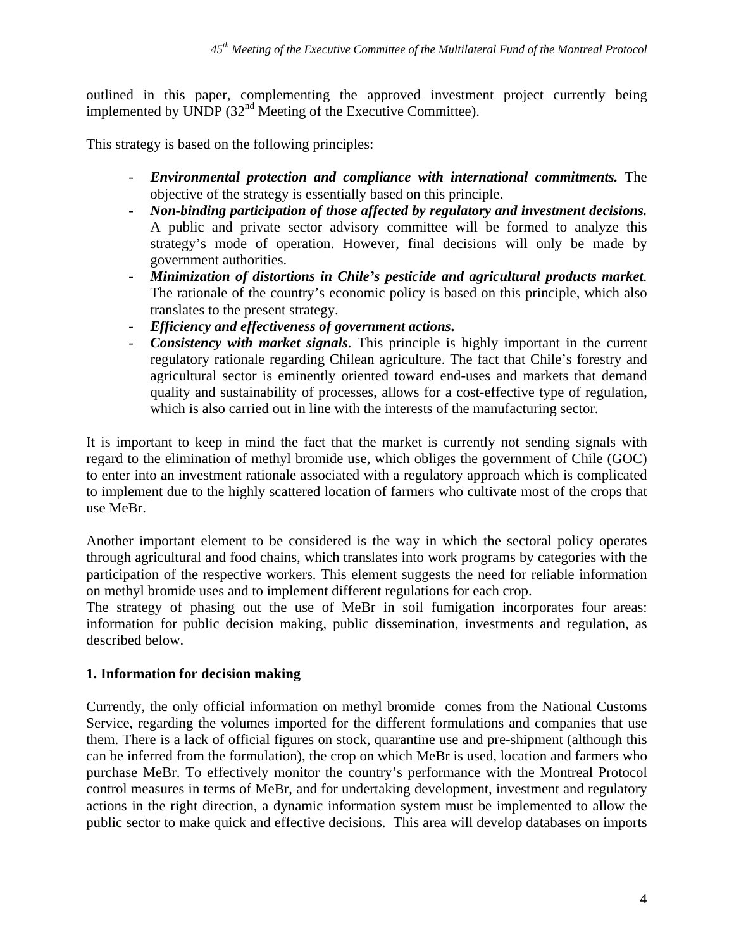outlined in this paper, complementing the approved investment project currently being implemented by UNDP  $(32<sup>nd</sup>$  Meeting of the Executive Committee).

This strategy is based on the following principles:

- *Environmental protection and compliance with international commitments.* The objective of the strategy is essentially based on this principle.
- *Non-binding participation of those affected by regulatory and investment decisions.* A public and private sector advisory committee will be formed to analyze this strategy's mode of operation. However, final decisions will only be made by government authorities.
- *Minimization of distortions in Chile's pesticide and agricultural products market.* The rationale of the country's economic policy is based on this principle, which also translates to the present strategy.
- *Efficiency and effectiveness of government actions***.**
- *Consistency with market signals*. This principle is highly important in the current regulatory rationale regarding Chilean agriculture. The fact that Chile's forestry and agricultural sector is eminently oriented toward end-uses and markets that demand quality and sustainability of processes, allows for a cost-effective type of regulation, which is also carried out in line with the interests of the manufacturing sector.

It is important to keep in mind the fact that the market is currently not sending signals with regard to the elimination of methyl bromide use, which obliges the government of Chile (GOC) to enter into an investment rationale associated with a regulatory approach which is complicated to implement due to the highly scattered location of farmers who cultivate most of the crops that use MeBr.

Another important element to be considered is the way in which the sectoral policy operates through agricultural and food chains, which translates into work programs by categories with the participation of the respective workers. This element suggests the need for reliable information on methyl bromide uses and to implement different regulations for each crop.

The strategy of phasing out the use of MeBr in soil fumigation incorporates four areas: information for public decision making, public dissemination, investments and regulation, as described below.

#### **1. Information for decision making**

Currently, the only official information on methyl bromide comes from the National Customs Service, regarding the volumes imported for the different formulations and companies that use them. There is a lack of official figures on stock, quarantine use and pre-shipment (although this can be inferred from the formulation), the crop on which MeBr is used, location and farmers who purchase MeBr. To effectively monitor the country's performance with the Montreal Protocol control measures in terms of MeBr, and for undertaking development, investment and regulatory actions in the right direction, a dynamic information system must be implemented to allow the public sector to make quick and effective decisions. This area will develop databases on imports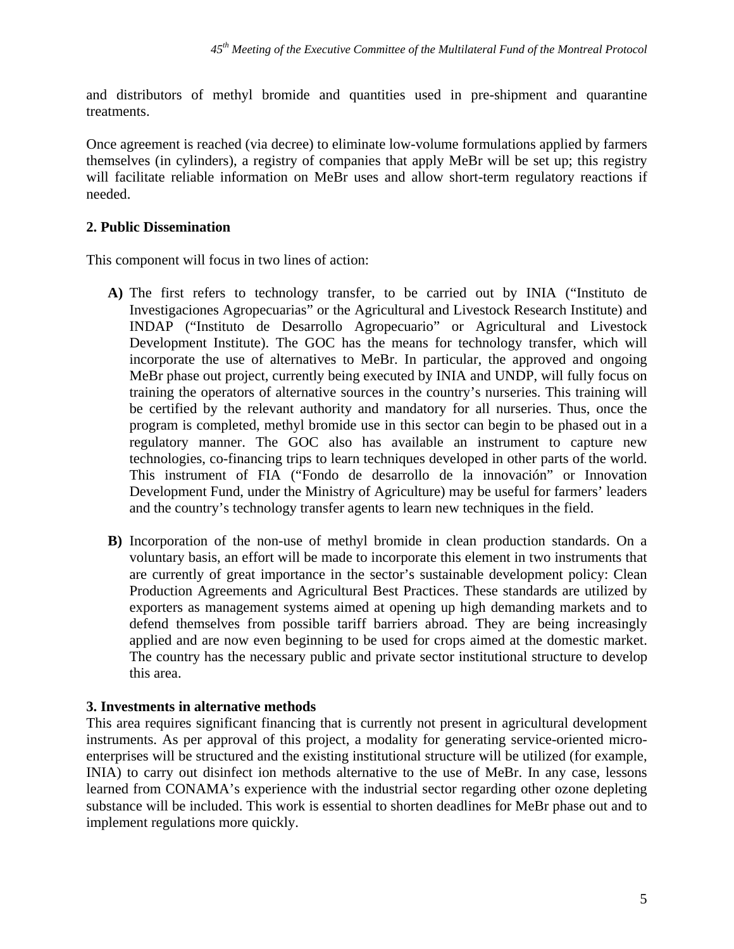and distributors of methyl bromide and quantities used in pre-shipment and quarantine treatments.

Once agreement is reached (via decree) to eliminate low-volume formulations applied by farmers themselves (in cylinders), a registry of companies that apply MeBr will be set up; this registry will facilitate reliable information on MeBr uses and allow short-term regulatory reactions if needed.

#### **2. Public Dissemination**

This component will focus in two lines of action:

- **A)** The first refers to technology transfer, to be carried out by INIA ("Instituto de Investigaciones Agropecuarias" or the Agricultural and Livestock Research Institute) and INDAP ("Instituto de Desarrollo Agropecuario" or Agricultural and Livestock Development Institute). The GOC has the means for technology transfer, which will incorporate the use of alternatives to MeBr. In particular, the approved and ongoing MeBr phase out project, currently being executed by INIA and UNDP, will fully focus on training the operators of alternative sources in the country's nurseries. This training will be certified by the relevant authority and mandatory for all nurseries. Thus, once the program is completed, methyl bromide use in this sector can begin to be phased out in a regulatory manner. The GOC also has available an instrument to capture new technologies, co-financing trips to learn techniques developed in other parts of the world. This instrument of FIA ("Fondo de desarrollo de la innovación" or Innovation Development Fund, under the Ministry of Agriculture) may be useful for farmers' leaders and the country's technology transfer agents to learn new techniques in the field.
- **B)** Incorporation of the non-use of methyl bromide in clean production standards. On a voluntary basis, an effort will be made to incorporate this element in two instruments that are currently of great importance in the sector's sustainable development policy: Clean Production Agreements and Agricultural Best Practices. These standards are utilized by exporters as management systems aimed at opening up high demanding markets and to defend themselves from possible tariff barriers abroad. They are being increasingly applied and are now even beginning to be used for crops aimed at the domestic market. The country has the necessary public and private sector institutional structure to develop this area.

#### **3. Investments in alternative methods**

This area requires significant financing that is currently not present in agricultural development instruments. As per approval of this project, a modality for generating service-oriented microenterprises will be structured and the existing institutional structure will be utilized (for example, INIA) to carry out disinfect ion methods alternative to the use of MeBr. In any case, lessons learned from CONAMA's experience with the industrial sector regarding other ozone depleting substance will be included. This work is essential to shorten deadlines for MeBr phase out and to implement regulations more quickly.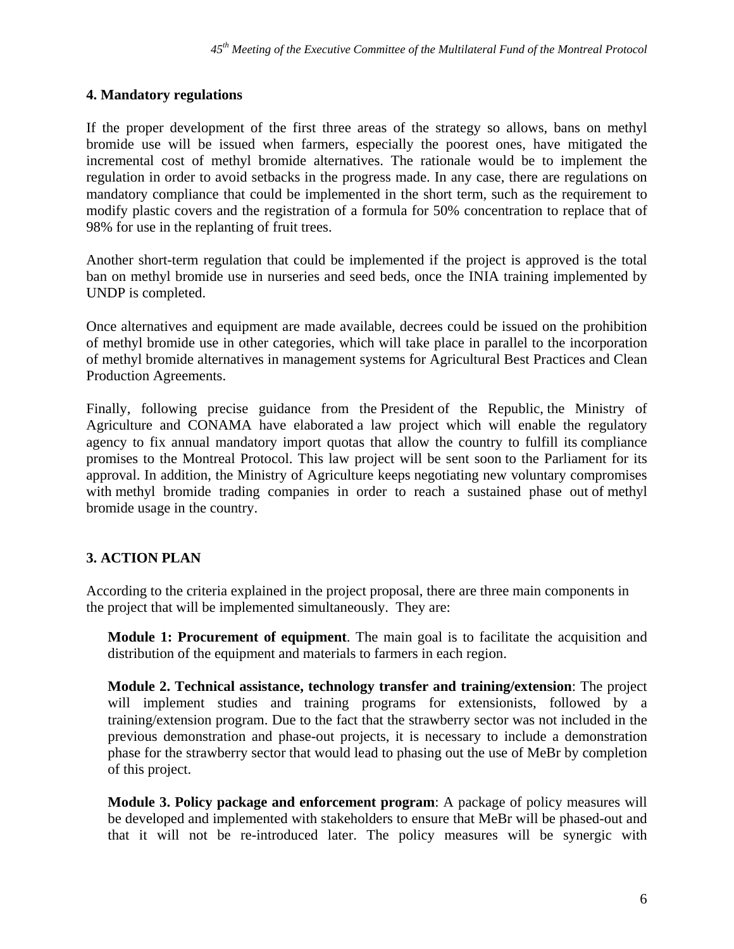#### **4. Mandatory regulations**

If the proper development of the first three areas of the strategy so allows, bans on methyl bromide use will be issued when farmers, especially the poorest ones, have mitigated the incremental cost of methyl bromide alternatives. The rationale would be to implement the regulation in order to avoid setbacks in the progress made. In any case, there are regulations on mandatory compliance that could be implemented in the short term, such as the requirement to modify plastic covers and the registration of a formula for 50% concentration to replace that of 98% for use in the replanting of fruit trees.

Another short-term regulation that could be implemented if the project is approved is the total ban on methyl bromide use in nurseries and seed beds, once the INIA training implemented by UNDP is completed.

Once alternatives and equipment are made available, decrees could be issued on the prohibition of methyl bromide use in other categories, which will take place in parallel to the incorporation of methyl bromide alternatives in management systems for Agricultural Best Practices and Clean Production Agreements.

Finally, following precise guidance from the President of the Republic, the Ministry of Agriculture and CONAMA have elaborated a law project which will enable the regulatory agency to fix annual mandatory import quotas that allow the country to fulfill its compliance promises to the Montreal Protocol. This law project will be sent soon to the Parliament for its approval. In addition, the Ministry of Agriculture keeps negotiating new voluntary compromises with methyl bromide trading companies in order to reach a sustained phase out of methyl bromide usage in the country.

### **3. ACTION PLAN**

According to the criteria explained in the project proposal, there are three main components in the project that will be implemented simultaneously. They are:

**Module 1: Procurement of equipment**. The main goal is to facilitate the acquisition and distribution of the equipment and materials to farmers in each region.

**Module 2. Technical assistance, technology transfer and training/extension**: The project will implement studies and training programs for extensionists, followed by a training/extension program. Due to the fact that the strawberry sector was not included in the previous demonstration and phase-out projects, it is necessary to include a demonstration phase for the strawberry sector that would lead to phasing out the use of MeBr by completion of this project.

**Module 3. Policy package and enforcement program**: A package of policy measures will be developed and implemented with stakeholders to ensure that MeBr will be phased-out and that it will not be re-introduced later. The policy measures will be synergic with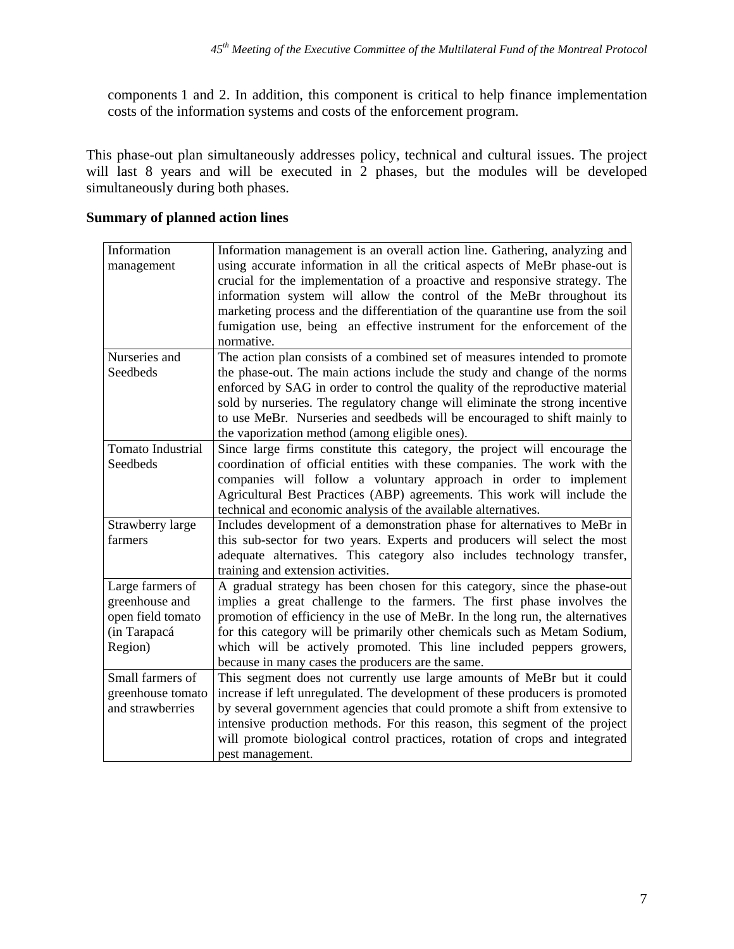components 1 and 2. In addition, this component is critical to help finance implementation costs of the information systems and costs of the enforcement program.

This phase-out plan simultaneously addresses policy, technical and cultural issues. The project will last 8 years and will be executed in 2 phases, but the modules will be developed simultaneously during both phases.

| Information              | Information management is an overall action line. Gathering, analyzing and    |
|--------------------------|-------------------------------------------------------------------------------|
| management               | using accurate information in all the critical aspects of MeBr phase-out is   |
|                          | crucial for the implementation of a proactive and responsive strategy. The    |
|                          | information system will allow the control of the MeBr throughout its          |
|                          | marketing process and the differentiation of the quarantine use from the soil |
|                          | fumigation use, being an effective instrument for the enforcement of the      |
|                          | normative.                                                                    |
| Nurseries and            | The action plan consists of a combined set of measures intended to promote    |
| Seedbeds                 | the phase-out. The main actions include the study and change of the norms     |
|                          | enforced by SAG in order to control the quality of the reproductive material  |
|                          | sold by nurseries. The regulatory change will eliminate the strong incentive  |
|                          | to use MeBr. Nurseries and seedbeds will be encouraged to shift mainly to     |
|                          | the vaporization method (among eligible ones).                                |
| <b>Tomato Industrial</b> | Since large firms constitute this category, the project will encourage the    |
| Seedbeds                 | coordination of official entities with these companies. The work with the     |
|                          | companies will follow a voluntary approach in order to implement              |
|                          | Agricultural Best Practices (ABP) agreements. This work will include the      |
|                          | technical and economic analysis of the available alternatives.                |
| Strawberry large         | Includes development of a demonstration phase for alternatives to MeBr in     |
| farmers                  | this sub-sector for two years. Experts and producers will select the most     |
|                          | adequate alternatives. This category also includes technology transfer,       |
|                          | training and extension activities.                                            |
| Large farmers of         | A gradual strategy has been chosen for this category, since the phase-out     |
| greenhouse and           | implies a great challenge to the farmers. The first phase involves the        |
| open field tomato        | promotion of efficiency in the use of MeBr. In the long run, the alternatives |
| (in Tarapacá             | for this category will be primarily other chemicals such as Metam Sodium,     |
| Region)                  | which will be actively promoted. This line included peppers growers,          |
|                          | because in many cases the producers are the same.                             |
| Small farmers of         | This segment does not currently use large amounts of MeBr but it could        |
| greenhouse tomato        | increase if left unregulated. The development of these producers is promoted  |
| and strawberries         | by several government agencies that could promote a shift from extensive to   |
|                          | intensive production methods. For this reason, this segment of the project    |
|                          | will promote biological control practices, rotation of crops and integrated   |
|                          | pest management.                                                              |

#### **Summary of planned action lines**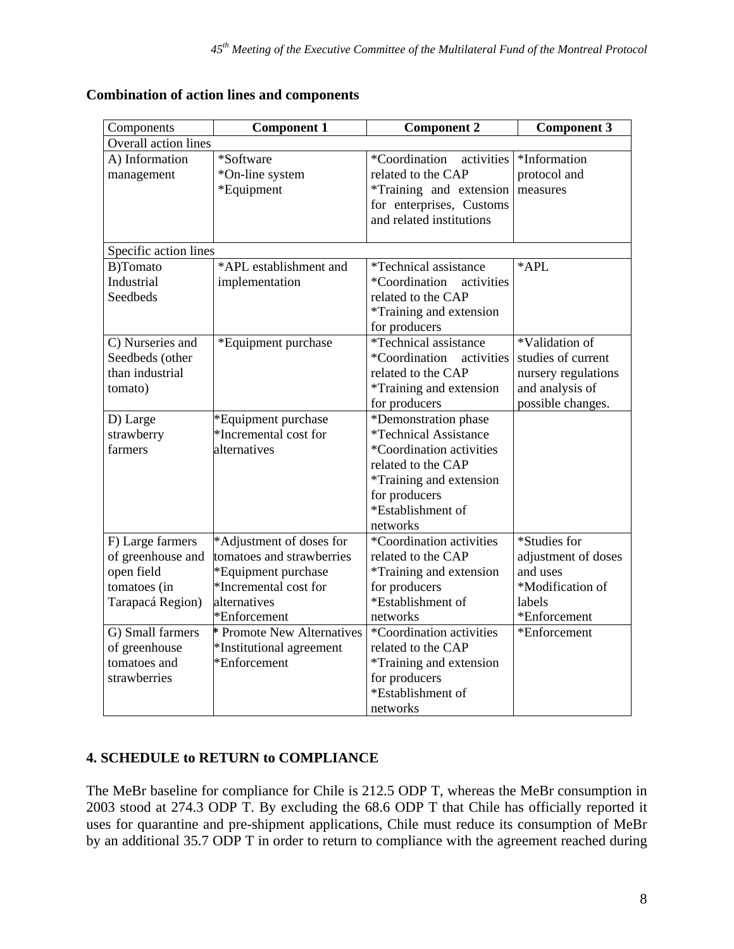| Components            | <b>Component 1</b>                | <b>Component 2</b>                  | <b>Component 3</b>  |
|-----------------------|-----------------------------------|-------------------------------------|---------------------|
| Overall action lines  |                                   |                                     |                     |
| A) Information        | *Software                         | *Coordination<br>activities         | *Information        |
| management            | *On-line system                   | related to the CAP                  | protocol and        |
|                       | *Equipment                        | *Training and extension             | measures            |
|                       |                                   | for enterprises, Customs            |                     |
|                       |                                   | and related institutions            |                     |
|                       |                                   |                                     |                     |
| Specific action lines |                                   |                                     |                     |
| B)Tomato              | *APL establishment and            | <i>*Technical assistance</i>        | *APL                |
| Industrial            | implementation                    | *Coordination<br>activities         |                     |
| <b>Seedbeds</b>       |                                   | related to the CAP                  |                     |
|                       |                                   | *Training and extension             |                     |
|                       |                                   | for producers                       |                     |
| C) Nurseries and      | *Equipment purchase               | <i>*Technical assistance</i>        | *Validation of      |
| Seedbeds (other       |                                   | *Coordination<br>activities         | studies of current  |
| than industrial       |                                   | related to the CAP                  | nursery regulations |
| tomato)               |                                   | *Training and extension             | and analysis of     |
|                       |                                   | for producers                       | possible changes.   |
| D) Large              | *Equipment purchase               | *Demonstration phase                |                     |
| strawberry            | *Incremental cost for             | <i><b>*Technical Assistance</b></i> |                     |
| farmers               | alternatives                      | *Coordination activities            |                     |
|                       |                                   | related to the CAP                  |                     |
|                       |                                   | *Training and extension             |                     |
|                       |                                   | for producers                       |                     |
|                       |                                   | *Establishment of                   |                     |
|                       |                                   | networks                            |                     |
| F) Large farmers      | *Adjustment of doses for          | *Coordination activities            | *Studies for        |
| of greenhouse and     | tomatoes and strawberries         | related to the CAP                  | adjustment of doses |
| open field            | *Equipment purchase               | *Training and extension             | and uses            |
| tomatoes (in          | *Incremental cost for             | for producers                       | *Modification of    |
| Tarapacá Region)      | alternatives                      | *Establishment of                   | labels              |
|                       | *Enforcement                      | networks                            | *Enforcement        |
| G) Small farmers      | <b>* Promote New Alternatives</b> | *Coordination activities            | *Enforcement        |
| of greenhouse         | *Institutional agreement          | related to the CAP                  |                     |
| tomatoes and          | *Enforcement                      | *Training and extension             |                     |
| strawberries          |                                   | for producers                       |                     |
|                       |                                   | *Establishment of                   |                     |
|                       |                                   | networks                            |                     |

## **Combination of action lines and components**

### **4. SCHEDULE to RETURN to COMPLIANCE**

The MeBr baseline for compliance for Chile is 212.5 ODP T, whereas the MeBr consumption in 2003 stood at 274.3 ODP T. By excluding the 68.6 ODP T that Chile has officially reported it uses for quarantine and pre-shipment applications, Chile must reduce its consumption of MeBr by an additional 35.7 ODP T in order to return to compliance with the agreement reached during